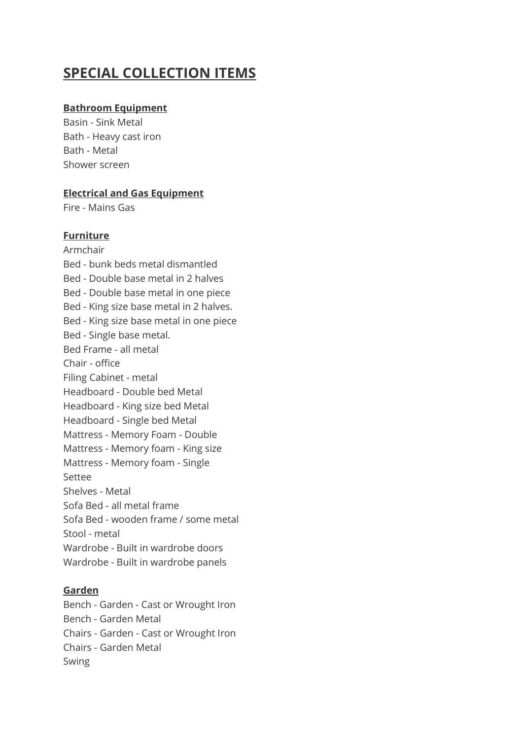# **SPECIAL COLLECTION ITEMS**

## **Bathroom Equipment**

Basin - Sink Metal Bath - Heavy cast iron Bath - Metal Shower screen

## **Electrical and Gas Equipment**

Fire - Mains Gas

## **Furniture**

Armchair Bed - bunk beds metal dismantled Bed - Double base metal in 2 halves Bed - Double base metal in one piece Bed - King size base metal in 2 halves. Bed - King size base metal in one piece Bed - Single base metal. Bed Frame - all metal Chair - office Filing Cabinet - metal Headboard - Double bed Metal Headboard - King size bed Metal Headboard - Single bed Metal Mattress - Memory Foam - Double Mattress - Memory foam - King size Mattress - Memory foam - Single Settee Shelves - Metal Sofa Bed - all metal frame Sofa Bed - wooden frame / some metal Stool - metal Wardrobe - Built in wardrobe doors Wardrobe - Built in wardrobe panels

### **Garden**

Bench - Garden - Cast or Wrought Iron Bench - Garden Metal Chairs - Garden - Cast or Wrought Iron Chairs - Garden Metal Swing